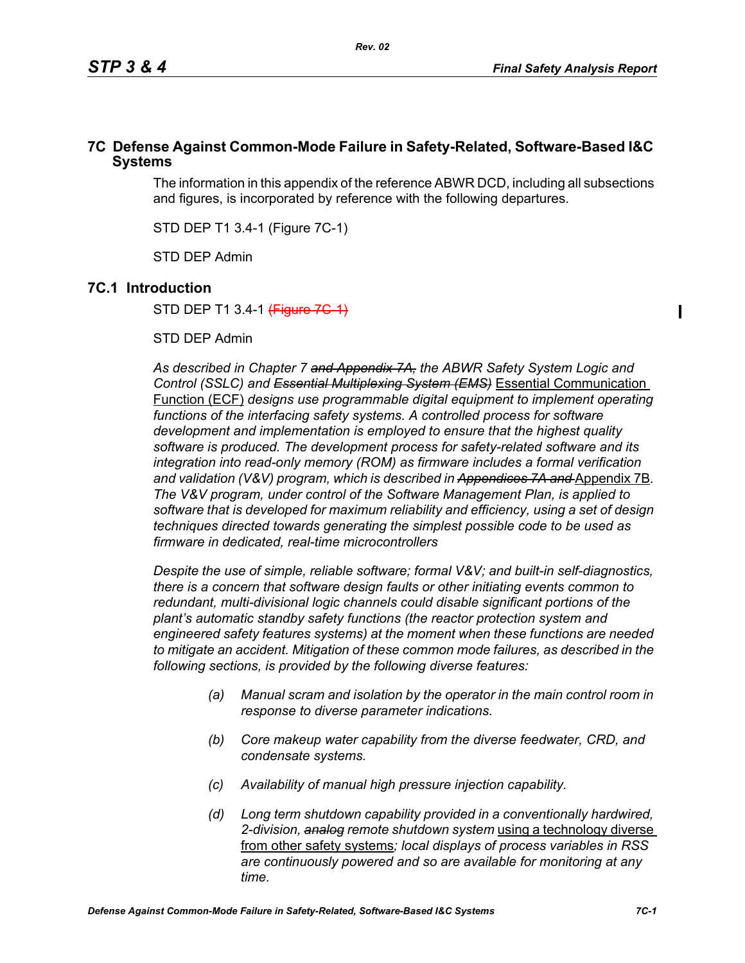$\blacksquare$ 

### **7C Defense Against Common-Mode Failure in Safety-Related, Software-Based I&C Systems**

The information in this appendix of the reference ABWR DCD, including all subsections and figures, is incorporated by reference with the following departures.

STD DEP T1 3.4-1 (Figure 7C-1)

STD DEP Admin

# **7C.1 Introduction**

STD DEP T1 3.4-1 (Figure 7G 1)

STD DEP Admin

*As described in Chapter 7 and Appendix 7A, the ABWR Safety System Logic and Control (SSLC) and Essential Multiplexing System (EMS)* Essential Communication Function (ECF) *designs use programmable digital equipment to implement operating*  functions of the interfacing safety systems. A controlled process for software *development and implementation is employed to ensure that the highest quality software is produced. The development process for safety-related software and its integration into read-only memory (ROM) as firmware includes a formal verification*  and validation (V&V) program, which is described in Appendices 7A and Appendix 7B. *The V&V program, under control of the Software Management Plan, is applied to software that is developed for maximum reliability and efficiency, using a set of design techniques directed towards generating the simplest possible code to be used as firmware in dedicated, real-time microcontrollers*

*Despite the use of simple, reliable software; formal V&V; and built-in self-diagnostics, there is a concern that software design faults or other initiating events common to redundant, multi-divisional logic channels could disable significant portions of the plant's automatic standby safety functions (the reactor protection system and engineered safety features systems) at the moment when these functions are needed to mitigate an accident. Mitigation of these common mode failures, as described in the following sections, is provided by the following diverse features:*

- *(a) Manual scram and isolation by the operator in the main control room in response to diverse parameter indications.*
- *(b) Core makeup water capability from the diverse feedwater, CRD, and condensate systems.*
- *(c) Availability of manual high pressure injection capability.*
- *(d) Long term shutdown capability provided in a conventionally hardwired, 2-division, analog remote shutdown system* using a technology diverse from other safety systems*; local displays of process variables in RSS are continuously powered and so are available for monitoring at any time.*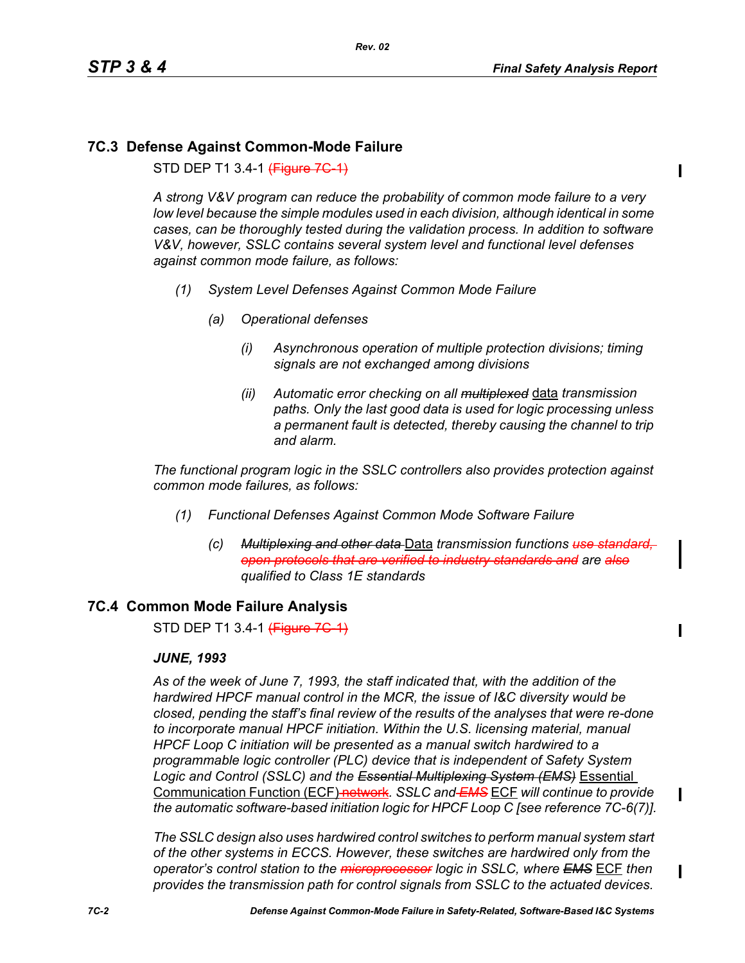П

 $\mathbf I$ 

# **7C.3 Defense Against Common-Mode Failure**

STD DEP T1 3.4-1 (Figure 7G-1)

*A strong V&V program can reduce the probability of common mode failure to a very low level because the simple modules used in each division, although identical in some cases, can be thoroughly tested during the validation process. In addition to software V&V, however, SSLC contains several system level and functional level defenses against common mode failure, as follows:*

- *(1) System Level Defenses Against Common Mode Failure*
	- *(a) Operational defenses*
		- *(i) Asynchronous operation of multiple protection divisions; timing signals are not exchanged among divisions*
		- *(ii) Automatic error checking on all multiplexed* data *transmission paths. Only the last good data is used for logic processing unless a permanent fault is detected, thereby causing the channel to trip and alarm.*

*The functional program logic in the SSLC controllers also provides protection against common mode failures, as follows:*

- *(1) Functional Defenses Against Common Mode Software Failure*
	- *(c) Multiplexing and other data* Data *transmission functions use standard, open protocols that are verified to industry standards and are also qualified to Class 1E standards*

# **7C.4 Common Mode Failure Analysis**

STD DEP T1 3.4-1 (Figure 7G-1)

#### *JUNE, 1993*

*As of the week of June 7, 1993, the staff indicated that, with the addition of the hardwired HPCF manual control in the MCR, the issue of I&C diversity would be closed, pending the staff's final review of the results of the analyses that were re-done to incorporate manual HPCF initiation. Within the U.S. licensing material, manual HPCF Loop C initiation will be presented as a manual switch hardwired to a programmable logic controller (PLC) device that is independent of Safety System Logic and Control (SSLC) and the Essential Multiplexing System (EMS)* Essential Communication Function (ECF) network*. SSLC and EMS* ECF *will continue to provide the automatic software-based initiation logic for HPCF Loop C [see reference 7C-6(7)].*

*The SSLC design also uses hardwired control switches to perform manual system start of the other systems in ECCS. However, these switches are hardwired only from the operator's control station to the microprocessor logic in SSLC, where EMS* ECF *then provides the transmission path for control signals from SSLC to the actuated devices.*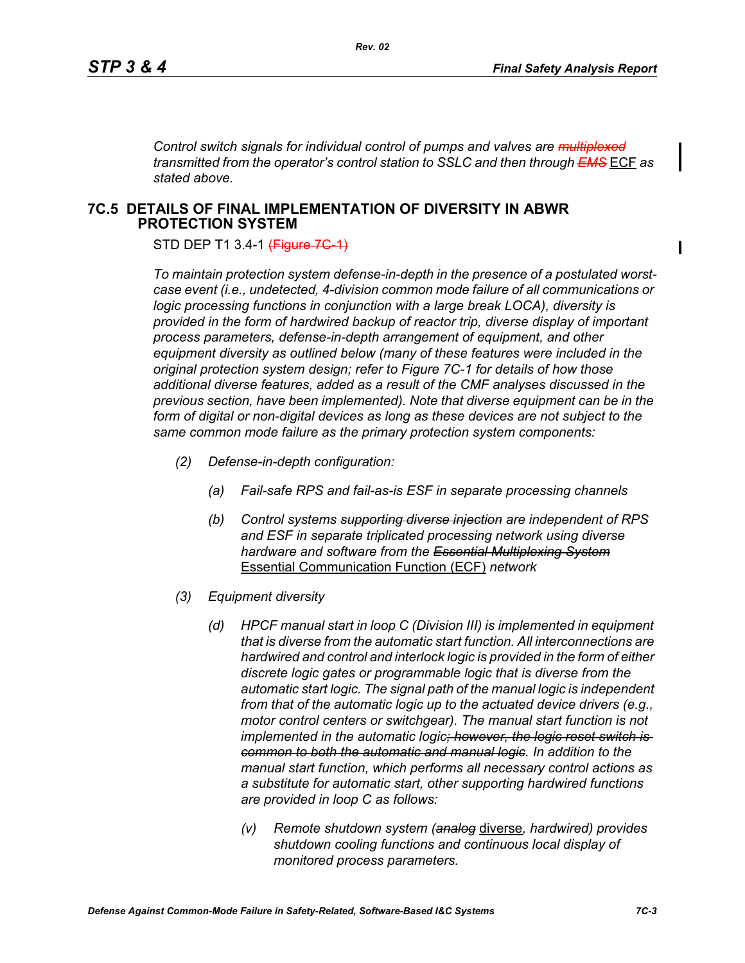Π

*Control switch signals for individual control of pumps and valves are multiplexed transmitted from the operator's control station to SSLC and then through EMS* ECF *as stated above.*

### **7C.5 DETAILS OF FINAL IMPLEMENTATION OF DIVERSITY IN ABWR PROTECTION SYSTEM**

STD DEP T1 3.4-1 (Figure 7G-1)

*To maintain protection system defense-in-depth in the presence of a postulated worstcase event (i.e., undetected, 4-division common mode failure of all communications or logic processing functions in conjunction with a large break LOCA), diversity is provided in the form of hardwired backup of reactor trip, diverse display of important process parameters, defense-in-depth arrangement of equipment, and other equipment diversity as outlined below (many of these features were included in the original protection system design; refer to Figure 7C-1 for details of how those additional diverse features, added as a result of the CMF analyses discussed in the previous section, have been implemented). Note that diverse equipment can be in the form of digital or non-digital devices as long as these devices are not subject to the same common mode failure as the primary protection system components:*

- *(2) Defense-in-depth configuration:*
	- *(a) Fail-safe RPS and fail-as-is ESF in separate processing channels*
	- *(b) Control systems supporting diverse injection are independent of RPS and ESF in separate triplicated processing network using diverse hardware and software from the Essential Multiplexing System* Essential Communication Function (ECF) *network*
- *(3) Equipment diversity*
	- *(d) HPCF manual start in loop C (Division III) is implemented in equipment that is diverse from the automatic start function. All interconnections are hardwired and control and interlock logic is provided in the form of either discrete logic gates or programmable logic that is diverse from the automatic start logic. The signal path of the manual logic is independent from that of the automatic logic up to the actuated device drivers (e.g., motor control centers or switchgear). The manual start function is not implemented in the automatic logic; however, the logic reset switch is common to both the automatic and manual logic. In addition to the manual start function, which performs all necessary control actions as a substitute for automatic start, other supporting hardwired functions are provided in loop C as follows:*
		- *(v) Remote shutdown system (analog* diverse*, hardwired) provides shutdown cooling functions and continuous local display of monitored process parameters.*